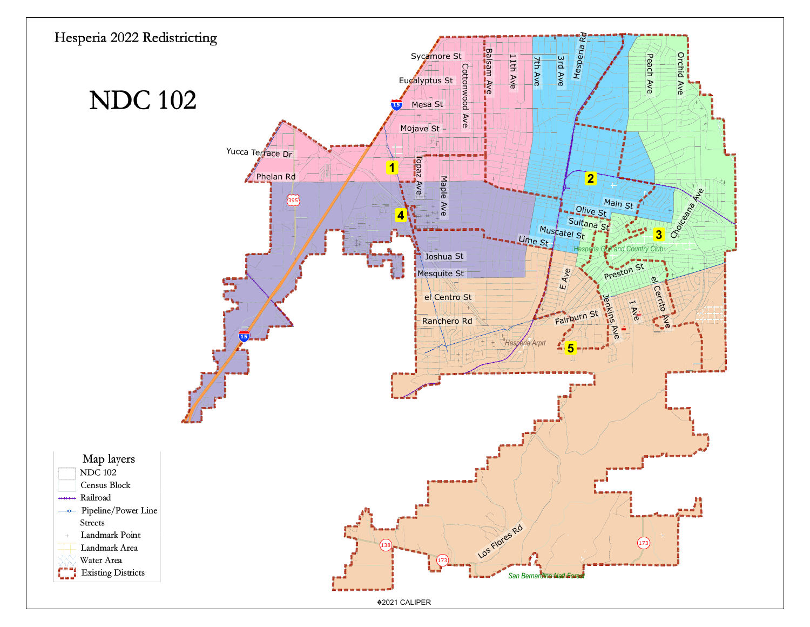